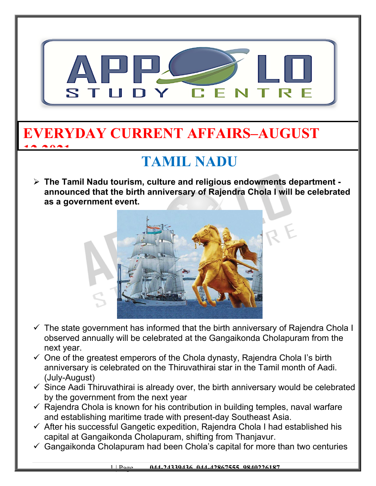

### **EVERYDAY CURRENT AFFAIRS–AUGUST 12,2021**

## **TAMIL NADU**

 **The Tamil Nadu tourism, culture and religious endowments department announced that the birth anniversary of Rajendra Chola I will be celebrated as a government event.**



- $\checkmark$  The state government has informed that the birth anniversary of Rajendra Chola I observed annually will be celebrated at the Gangaikonda Cholapuram from the next year.
- $\checkmark$  One of the greatest emperors of the Chola dynasty, Rajendra Chola I's birth anniversary is celebrated on the Thiruvathirai star in the Tamil month of Aadi. (July-August)
- $\checkmark$  Since Aadi Thiruvathirai is already over, the birth anniversary would be celebrated by the government from the next year
- $\checkmark$  Rajendra Chola is known for his contribution in building temples, naval warfare and establishing maritime trade with present-day Southeast Asia.
- $\checkmark$  After his successful Gangetic expedition, Rajendra Chola I had established his capital at Gangaikonda Cholapuram, shifting from Thanjavur.
- $\checkmark$  Gangaikonda Cholapuram had been Chola's capital for more than two centuries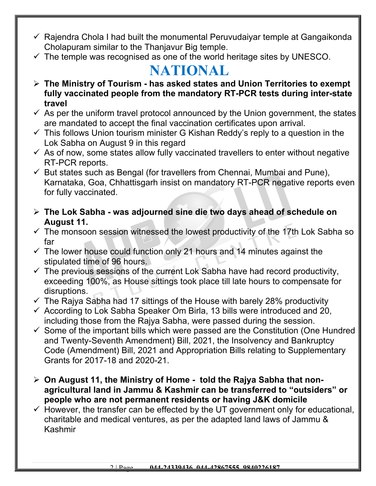- $\checkmark$  Raiendra Chola I had built the monumental Peruvudaiyar temple at Gangaikonda Cholapuram similar to the Thanjavur Big temple.
- $\checkmark$  The temple was recognised as one of the world heritage sites by UNESCO.

#### **NATIONAL**

- **The Ministry of Tourism has asked states and Union Territories to exempt fully vaccinated people from the mandatory RT-PCR tests during inter-state travel**
- $\checkmark$  As per the uniform travel protocol announced by the Union government, the states are mandated to accept the final vaccination certificates upon arrival.
- $\checkmark$  This follows Union tourism minister G Kishan Reddy's reply to a question in the Lok Sabha on August 9 in this regard
- $\checkmark$  As of now, some states allow fully vaccinated travellers to enter without negative RT-PCR reports.
- $\checkmark$  But states such as Bengal (for travellers from Chennai, Mumbai and Pune), Karnataka, Goa, Chhattisgarh insist on mandatory RT-PCR negative reports even for fully vaccinated.
- **The Lok Sabha was adjourned sine die two days ahead of schedule on August 11.**
- $\checkmark$  The monsoon session witnessed the lowest productivity of the 17th Lok Sabha so far
- $\checkmark$  The lower house could function only 21 hours and 14 minutes against the stipulated time of 96 hours.
- $\checkmark$  The previous sessions of the current Lok Sabha have had record productivity, exceeding 100%, as House sittings took place till late hours to compensate for disruptions.
- $\checkmark$  The Rajya Sabha had 17 sittings of the House with barely 28% productivity
- $\checkmark$  According to Lok Sabha Speaker Om Birla, 13 bills were introduced and 20, including those from the Rajya Sabha, were passed during the session.
- $\checkmark$  Some of the important bills which were passed are the Constitution (One Hundred and Twenty-Seventh Amendment) Bill, 2021, the Insolvency and Bankruptcy Code (Amendment) Bill, 2021 and Appropriation Bills relating to Supplementary Grants for 2017-18 and 2020-21.
- **On August 11, the Ministry of Home told the Rajya Sabha that nonagricultural land in Jammu & Kashmir can be transferred to "outsiders" or people who are not permanent residents or having J&K domicile**
- $\checkmark$  However, the transfer can be effected by the UT government only for educational, charitable and medical ventures, as per the adapted land laws of Jammu & Kashmir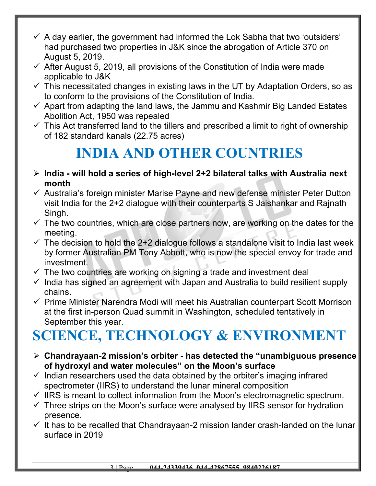- $\checkmark$  A day earlier, the government had informed the Lok Sabha that two 'outsiders' had purchased two properties in J&K since the abrogation of Article 370 on August 5, 2019.
- $\checkmark$  After August 5, 2019, all provisions of the Constitution of India were made applicable to J&K
- $\checkmark$  This necessitated changes in existing laws in the UT by Adaptation Orders, so as to conform to the provisions of the Constitution of India.
- $\checkmark$  Apart from adapting the land laws, the Jammu and Kashmir Big Landed Estates Abolition Act, 1950 was repealed
- $\checkmark$  This Act transferred land to the tillers and prescribed a limit to right of ownership of 182 standard kanals (22.75 acres)

#### **INDIA AND OTHER COUNTRIES**

- **India will hold a series of high-level 2+2 bilateral talks with Australia next month**
- $\checkmark$  Australia's foreign minister Marise Payne and new defense minister Peter Dutton visit India for the 2+2 dialogue with their counterparts S Jaishankar and Rajnath Singh.
- $\checkmark$  The two countries, which are close partners now, are working on the dates for the meeting.
- $\checkmark$  The decision to hold the 2+2 dialogue follows a standalone visit to India last week by former Australian PM Tony Abbott, who is now the special envoy for trade and investment.
- $\checkmark$  The two countries are working on signing a trade and investment deal
- $\checkmark$  India has signed an agreement with Japan and Australia to build resilient supply chains.
- $\checkmark$  Prime Minister Narendra Modi will meet his Australian counterpart Scott Morrison at the first in-person Quad summit in Washington, scheduled tentatively in September this year.

# **SCIENCE, TECHNOLOGY & ENVIRONMENT**

- **Chandrayaan-2 mission's orbiter has detected the "unambiguous presence of hydroxyl and water molecules" on the Moon's surface**
- $\checkmark$  Indian researchers used the data obtained by the orbiter's imaging infrared spectrometer (IIRS) to understand the lunar mineral composition
- $\checkmark$  IIRS is meant to collect information from the Moon's electromagnetic spectrum.
- $\checkmark$  Three strips on the Moon's surface were analysed by IIRS sensor for hydration presence.
- $\checkmark$  It has to be recalled that Chandrayaan-2 mission lander crash-landed on the lunar surface in 2019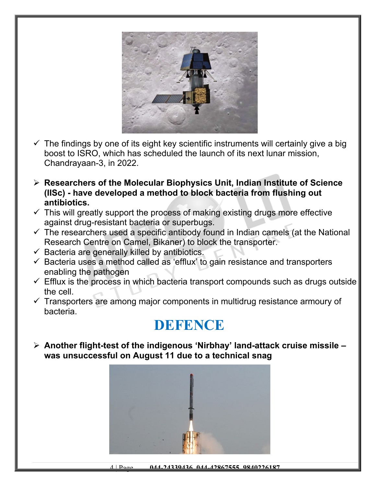

- $\checkmark$  The findings by one of its eight key scientific instruments will certainly give a big boost to ISRO, which has scheduled the launch of its next lunar mission, Chandrayaan-3, in 2022.
- **Researchers of the Molecular Biophysics Unit, Indian Institute of Science (IISc) - have developed a method to block bacteria from flushing out antibiotics.**
- $\checkmark$  This will greatly support the process of making existing drugs more effective against drug-resistant bacteria or superbugs.
- $\checkmark$  The researchers used a specific antibody found in Indian camels (at the National Research Centre on Camel, Bikaner) to block the transporter.
- $\checkmark$  Bacteria are generally killed by antibiotics.
- $\checkmark$  Bacteria uses a method called as 'efflux' to gain resistance and transporters enabling the pathogen
- $\checkmark$  Efflux is the process in which bacteria transport compounds such as drugs outside the cell.
- $\checkmark$  Transporters are among major components in multidrug resistance armoury of bacteria.

#### **DEFENCE**

 **Another flight-test of the indigenous 'Nirbhay' land-attack cruise missile – was unsuccessful on August 11 due to a technical snag**